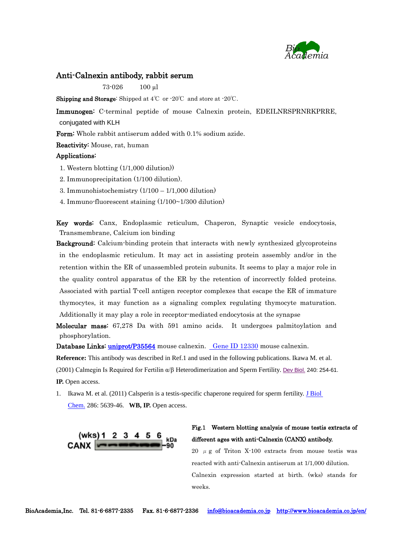

#### Anti-Calnexin antibody, rabbit serum

73-026 100 µl

Shipping and Storage: Shipped at 4℃ or -20℃ and store at -20℃.

Immunogen: C-terminal peptide of mouse Calnexin protein, EDEILNRSPRNRKPRRE, conjugated with KLH

Form: Whole rabbit antiserum added with 0.1% sodium azide.

Reactivity: Mouse, rat, human

#### Applications:

- 1. Western blotting (1/1,000 dilution))
- 2. Immunoprecipitation (1/100 dilution).
- 3. Immunohistochemistry (1/100 1/1,000 dilution)
- 4. Immuno-fluorescent staining (1/100~1/300 dilution)

Key words: Canx, Endoplasmic reticulum, Chaperon, Synaptic vesicle endocytosis, Transmembrane, Calcium ion binding

Background: Calcium-binding protein that interacts with newly synthesized glycoproteins in the endoplasmic reticulum. It may act in assisting protein assembly and/or in the retention within the ER of unassembled protein subunits. It seems to play a major role in the quality control apparatus of the ER by the retention of incorrectly folded proteins. Associated with partial T-cell antigen receptor complexes that escape the ER of immature thymocytes, it may function as a signaling complex regulating thymocyte maturation. Additionally it may play a role in receptor-mediated endocytosis at the synapse

Molecular mass: 67,278 Da with 591 amino acids. It undergoes palmitoylation and phosphorylation.

Database Links: [uniprot/P35564](http://www.uniprot.org/uniprot/P35564) mouse calnexin. [Gene ID 12330](http://www.ncbi.nlm.nih.gov/gene/12330) mouse calnexin.

**Reference:** This antibody was described in Ref.1 and used in the following publications. Ikawa M. et al.

(2001) Calmegin Is Required for Fertilin  $\alpha/\beta$  Heterodimerization and Sperm Fertility. [Dev Biol.](http://www.ncbi.nlm.nih.gov/pubmed/11784061) 240: 254-61. **IP.** Open access.

1. Ikawa M. et al. (2011) Calsperin is a testis-specific chaperone required for sperm fertility. [J Biol](http://www.ncbi.nlm.nih.gov/pubmed/21131354)  [Chem.](http://www.ncbi.nlm.nih.gov/pubmed/21131354) 286: 5639-46. **WB, IP.** Open access.



### Fig.1 Western blotting analysis of mouse testis extracts of different ages with anti-Calnexin (CANX) antibody.

20  $\mu$  g of Triton X-100 extracts from mouse test is was reacted with anti-Calnexin antiserum at 1/1,000 dilution. Calnexin expression started at birth. (wks) stands for weeks.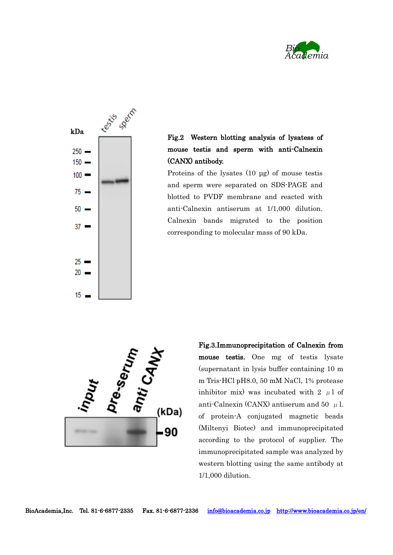



## Fig.2 Western blotting analysis of lysatess of mouse testis and sperm with anti-Calnexin (CANX) antibody.

Proteins of the lysates (10 μg) of mouse testis and sperm were separated on SDS-PAGE and blotted to PVDF membrane and reacted with anti-Calnexin antiserum at 1/1,000 dilution. Calnexin bands migrated to the position corresponding to molecular mass of 90 kDa.



inhibitor mix) was incubated with 2  $\mu$ 1 of Fig.3.Immunoprecipitation of Calnexin from mouse testis. One mg of testis lysate (supernatant in lysis buffer containing 10 m m Tris-HCl pH8.0, 50 mM NaCl, 1% protease anti-Calnexin (CANX) antiserum and 50  $\mu$  l. of protein-A conjugated magnetic beads (Miltenyi Biotec) and immunoprecipitated according to the protocol of supplier. The immunoprecipitated sample was analyzed by western blotting using the same antibody at 1/1,000 dilution.